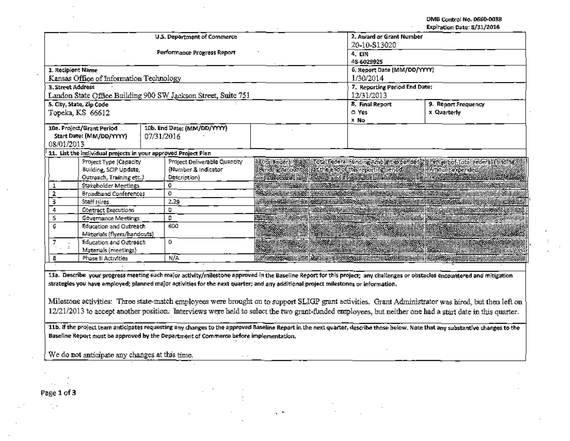OMB Control No. 0660-0038

|                                                                                   |                                                                |  |                                                               |                                                                           |                                    | Expiration Date: 8/31/2016                                                                                                                                                                                                           |  |  |
|-----------------------------------------------------------------------------------|----------------------------------------------------------------|--|---------------------------------------------------------------|---------------------------------------------------------------------------|------------------------------------|--------------------------------------------------------------------------------------------------------------------------------------------------------------------------------------------------------------------------------------|--|--|
|                                                                                   |                                                                |  | U.S. Department of Commerce                                   | 20-10-813020                                                              | 2. Award or Grant Number<br>4. EIN |                                                                                                                                                                                                                                      |  |  |
|                                                                                   |                                                                |  | <b>Performance Progress Report</b>                            | 48-6029925                                                                |                                    |                                                                                                                                                                                                                                      |  |  |
| 1. Recipient Name                                                                 |                                                                |  |                                                               |                                                                           | 6. Report Date (MM/DD/YYYY)        |                                                                                                                                                                                                                                      |  |  |
|                                                                                   | Kansas Office of Information Technology                        |  |                                                               |                                                                           | 1/30/2014                          |                                                                                                                                                                                                                                      |  |  |
| 3. Street Address                                                                 |                                                                |  |                                                               |                                                                           |                                    | 7. Reporting Period End Date:                                                                                                                                                                                                        |  |  |
|                                                                                   |                                                                |  | Landon State Office Building 900 SW Jackson Street, Suite 751 |                                                                           | 12/31/2013                         |                                                                                                                                                                                                                                      |  |  |
|                                                                                   | 5. City, State, Zip Code                                       |  |                                                               |                                                                           | 8. Final Report                    | 9. Report Frequency                                                                                                                                                                                                                  |  |  |
|                                                                                   | Topeka, KS 66612                                               |  |                                                               |                                                                           | O Yes<br>x No                      | x Quarterly                                                                                                                                                                                                                          |  |  |
| 10a. Project/Grant Period<br>Start Date: (MM/DD/YYYY)<br>07/31/2016<br>08/01/2013 |                                                                |  | 10b. End Date: (MM/DD/YYYY)                                   |                                                                           |                                    |                                                                                                                                                                                                                                      |  |  |
|                                                                                   | 11. List the individual projects in your approved Project Plan |  |                                                               |                                                                           |                                    |                                                                                                                                                                                                                                      |  |  |
|                                                                                   | Project Type (Capacity                                         |  | Project Deliverable Quantity                                  |                                                                           |                                    |                                                                                                                                                                                                                                      |  |  |
|                                                                                   | Building, SCIP Update,                                         |  | (Number & Indicator                                           | ining Amount & Hat the end of this reporting period. The Minimum expended |                                    |                                                                                                                                                                                                                                      |  |  |
|                                                                                   | Outreach, Training etc.)                                       |  | Description)                                                  |                                                                           |                                    |                                                                                                                                                                                                                                      |  |  |
| 1                                                                                 | Stakeholder Meetings                                           |  | 0                                                             |                                                                           |                                    |                                                                                                                                                                                                                                      |  |  |
| 2                                                                                 | <b>Broadband Conferences</b>                                   |  | Ð                                                             |                                                                           |                                    | <b>SAASSEE HAN HER SAASSEEN DER HAR AR SENDEMENT HAN HER SAASSEEN DER SAASSEEN DER HAN HER HER SAASSEE HAN HER SAASSEE DER SAASSEE DER HAN HER SAASSEE DER HAN HER SAASSEE DER HAN HER SAASSEE DER SAASSEE DER HAN HER SAASSEE D</b> |  |  |
| з                                                                                 | Staff Hires                                                    |  | 2.29                                                          |                                                                           |                                    |                                                                                                                                                                                                                                      |  |  |
| 4                                                                                 | <b>Contract Executions</b>                                     |  | O                                                             |                                                                           |                                    |                                                                                                                                                                                                                                      |  |  |
| 5                                                                                 | <b>Governance Meetings</b>                                     |  | ٥                                                             |                                                                           |                                    | <b>satotto and an and an and an and an and an and an and an and an and an and an and an and an and an and an and a</b>                                                                                                               |  |  |
| 6                                                                                 | Education and Outreach<br>Materials (flyers/handouts)          |  | 600                                                           |                                                                           | <b>in na assay ni hililin</b>      | <b>用于电影发现到了原因的 医类的 医中毒性皮炎病的 的过去时医皮炎的不同时的 医血管切除术 经济的 计中断 医中央性</b>                                                                                                                                                                     |  |  |
| 7.                                                                                | Education and Outreach<br>Materials (meetings)                 |  | 0                                                             |                                                                           |                                    | RACINE AND LONG AND LONG AND LONG AND LONG AND LONG AND LONG AND LONG AND LONG AND LONG AND LONG AND LONG AND                                                                                                                        |  |  |
| 8                                                                                 | Phase II Activities                                            |  | N/A                                                           |                                                                           |                                    | <b>HAMAR ASSA AN HININ ASSA HININ WEN ASSAY HININ ARAS SUN DIHININ HAMAR ASSA SUN DIDINA HININ HAMAR AN DIDINI N</b>                                                                                                                 |  |  |
|                                                                                   |                                                                |  |                                                               |                                                                           |                                    |                                                                                                                                                                                                                                      |  |  |
|                                                                                   |                                                                |  |                                                               |                                                                           |                                    | 11a. Describe your progress meeting each major activity/milestone approved in the Baseline Report for this project; any challenges or obstacles encountered and mitigation                                                           |  |  |

strategies you have employed; planned major activities for the next quarter; and any additional project milestones or information.

Milestone activities: Three state-match employees were brought on to support SLIGP grant activities. Grant Administrator was hired, but then left on 12/21/2013 to accept another position. Interviews were held to select the two grant-funded employees, but neither one had a start date in this quarter.

11b. If the project team anticipates requesting any changes to the approved Baseline Report in the next quarter, describe those below. Note that any substantive changes to the Baseline Report must be approved by the Department of Commerce before implementation.

 $\sqrt{2}$ 

 $\ddot{\phantom{0}}$ 

We do not anticipate any changes at this time.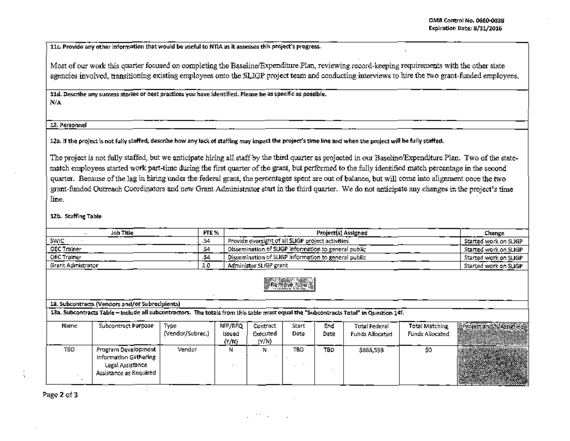11c. Provide any other information that would be useful to NTIA as it assesses this project's progress.

Most of our work this quarter focused on completing the Baseline/Expenditure Plan, reviewing record-keeping requirements with the other state agencies involved, transitioning existing employees onto the SLIGP project team and conducting interviews to hire the two grant-funded employees.

11d. Describe any success stories or best practices you have identified. Please be as specific as possible.  $N/A$ 

## 12. Personnel

12a. If the project is not fully staffed, describe how any lack of staffing may impact the project's time line and when the project will be fully staffed.

The project is not fully staffed, but we anticipate hiring all staff by the third quarter as projected in our Baseline/Expenditure Plan. Two of the statematch employees started work part-time during the first quarter of the grant, but performed to the fully identified match percentage in the second quarter. Because of the lag in hiring under the federal grant, the percentages spent are out of balance, but will come into alignment once the two grant-funded Outreach Coordinators and new Grant Administrator start in the third quarter. We do not anticipate any changes in the project's time line.

## 12b. Staffing Table

| Joh Title                                                                                                                             | FTE % | Project(s) Assigned                                 | Change                |  |  |  |
|---------------------------------------------------------------------------------------------------------------------------------------|-------|-----------------------------------------------------|-----------------------|--|--|--|
| <b>SWIC</b>                                                                                                                           | .54   | Provide oversight of all SLIGP project activities   | Started work on SLIGP |  |  |  |
| OEC Trainer                                                                                                                           | .54   | Dissemination of SUGP information to general public | Started work on SLIGP |  |  |  |
| OEC Trainer                                                                                                                           | .54   | Dissemination of SUGP information to general public | Started work on SLIGP |  |  |  |
| Grant Admistrator                                                                                                                     | 1.0   | Administer SLIGP grant                              | Started work on SLIGP |  |  |  |
| <b>Remove Bowell</b><br>13. Subcontracts (Vendors and/or Subrecipients)                                                               |       |                                                     |                       |  |  |  |
| 13a. Subcontracts Table - Include all subcontractors. The totals from this table must equal the "Subcontracts Total" in Question 14f. |       |                                                     |                       |  |  |  |
|                                                                                                                                       |       |                                                     |                       |  |  |  |

| Name | Subcontract Purpose                                                                        | Type<br>(Vendor/Subrec.) | RFP/RFQ<br>Issued<br>(Y/N) | Contract<br>Executed<br>(Y/N) | Start<br>Date | End<br>Date | Total Federal<br>Funds Allocated | Total Matching<br>Funds Allocated | <b>Froject Trd X ASTFredy</b> |
|------|--------------------------------------------------------------------------------------------|--------------------------|----------------------------|-------------------------------|---------------|-------------|----------------------------------|-----------------------------------|-------------------------------|
| TBD  | Program Development<br>Information Gathering<br>Legal Assistance<br>Assistance as Required | Vendor                   | N                          |                               | TBD           | TBD         | \$863,593                        | so                                |                               |

Page 2 of 3